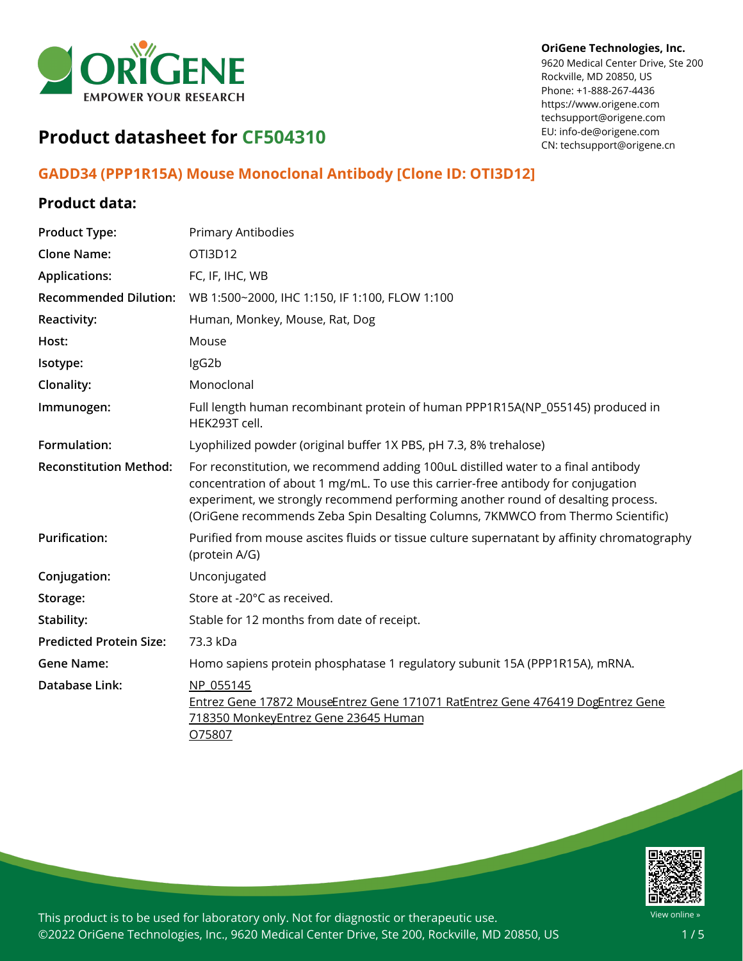

#### **OriGene Technologies, Inc.**

9620 Medical Center Drive, Ste 200 Rockville, MD 20850, US Phone: +1-888-267-4436 https://www.origene.com techsupport@origene.com EU: info-de@origene.com CN: techsupport@origene.cn

# **Product datasheet for CF504310**

## **GADD34 (PPP1R15A) Mouse Monoclonal Antibody [Clone ID: OTI3D12]**

### **Product data:**

| <b>Product Type:</b>                                                                                                                                            | <b>Primary Antibodies</b>                                                                                                                                                                                                                                                                                                                     |  |  |
|-----------------------------------------------------------------------------------------------------------------------------------------------------------------|-----------------------------------------------------------------------------------------------------------------------------------------------------------------------------------------------------------------------------------------------------------------------------------------------------------------------------------------------|--|--|
| <b>Clone Name:</b>                                                                                                                                              | OTI3D12                                                                                                                                                                                                                                                                                                                                       |  |  |
| <b>Applications:</b>                                                                                                                                            | FC, IF, IHC, WB                                                                                                                                                                                                                                                                                                                               |  |  |
| <b>Recommended Dilution:</b>                                                                                                                                    | WB 1:500~2000, IHC 1:150, IF 1:100, FLOW 1:100                                                                                                                                                                                                                                                                                                |  |  |
| Reactivity:                                                                                                                                                     | Human, Monkey, Mouse, Rat, Dog                                                                                                                                                                                                                                                                                                                |  |  |
| Host:                                                                                                                                                           | Mouse                                                                                                                                                                                                                                                                                                                                         |  |  |
| Isotype:                                                                                                                                                        | IgG2b                                                                                                                                                                                                                                                                                                                                         |  |  |
| Clonality:                                                                                                                                                      | Monoclonal                                                                                                                                                                                                                                                                                                                                    |  |  |
| Immunogen:                                                                                                                                                      | Full length human recombinant protein of human PPP1R15A(NP_055145) produced in<br>HEK293T cell.                                                                                                                                                                                                                                               |  |  |
| Formulation:                                                                                                                                                    | Lyophilized powder (original buffer 1X PBS, pH 7.3, 8% trehalose)                                                                                                                                                                                                                                                                             |  |  |
| <b>Reconstitution Method:</b>                                                                                                                                   | For reconstitution, we recommend adding 100uL distilled water to a final antibody<br>concentration of about 1 mg/mL. To use this carrier-free antibody for conjugation<br>experiment, we strongly recommend performing another round of desalting process.<br>(OriGene recommends Zeba Spin Desalting Columns, 7KMWCO from Thermo Scientific) |  |  |
| <b>Purification:</b>                                                                                                                                            | Purified from mouse ascites fluids or tissue culture supernatant by affinity chromatography<br>(protein A/G)                                                                                                                                                                                                                                  |  |  |
| Conjugation:                                                                                                                                                    | Unconjugated                                                                                                                                                                                                                                                                                                                                  |  |  |
| Storage:                                                                                                                                                        | Store at -20°C as received.                                                                                                                                                                                                                                                                                                                   |  |  |
| Stability:                                                                                                                                                      | Stable for 12 months from date of receipt.                                                                                                                                                                                                                                                                                                    |  |  |
| <b>Predicted Protein Size:</b>                                                                                                                                  | 73.3 kDa                                                                                                                                                                                                                                                                                                                                      |  |  |
| <b>Gene Name:</b>                                                                                                                                               | Homo sapiens protein phosphatase 1 regulatory subunit 15A (PPP1R15A), mRNA.                                                                                                                                                                                                                                                                   |  |  |
| Database Link:<br>NP 055145<br>Entrez Gene 17872 MouseEntrez Gene 171071 RatEntrez Gene 476419 DogEntrez Gene<br>718350 MonkeyEntrez Gene 23645 Human<br>O75807 |                                                                                                                                                                                                                                                                                                                                               |  |  |

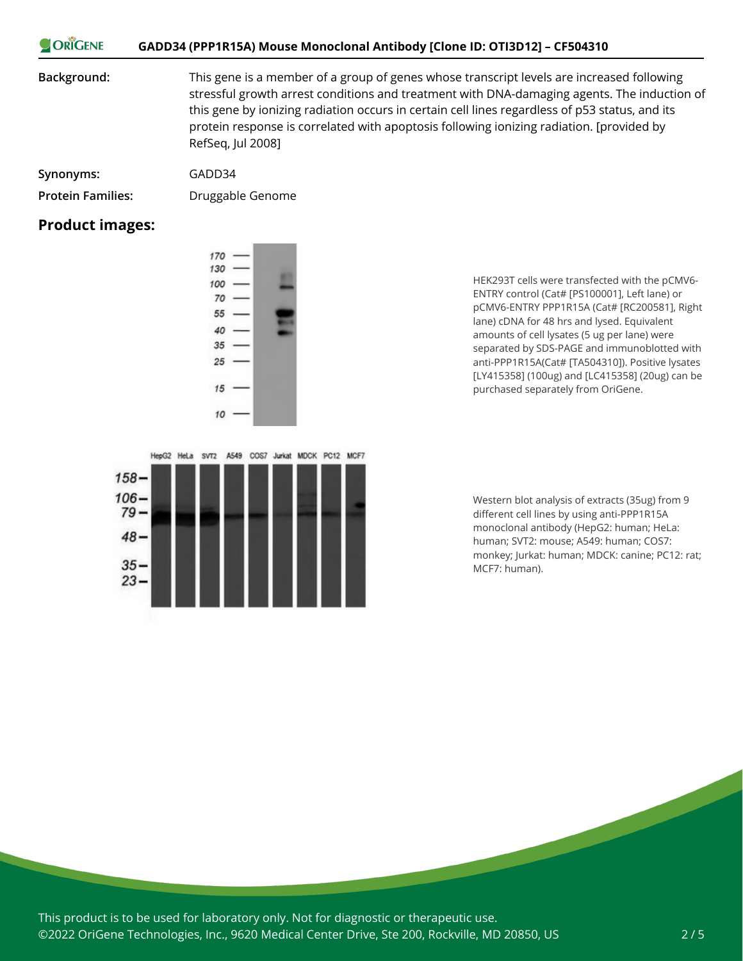| ORIGENE | GADD34 (PPP1R15A) Mouse Monoclonal Antibody [Clone ID: OTI3D12] – CF504310 |
|---------|----------------------------------------------------------------------------|
|---------|----------------------------------------------------------------------------|

**Background:** This gene is a member of a group of genes whose transcript levels are increased following stressful growth arrest conditions and treatment with DNA-damaging agents. The induction of this gene by ionizing radiation occurs in certain cell lines regardless of p53 status, and its protein response is correlated with apoptosis following ionizing radiation. [provided by RefSeq, Jul 2008]

| Synonyms:         | GADD34 |
|-------------------|--------|
| Duatain Familiano | Dz     |

**Protein Families:** Druggable Genome

#### **Product images:**



HEK293T cells were transfected with the pCMV6- ENTRY control (Cat# [PS100001], Left lane) or pCMV6-ENTRY PPP1R15A (Cat# [RC200581], Right lane) cDNA for 48 hrs and lysed. Equivalent amounts of cell lysates (5 ug per lane) were separated by SDS-PAGE and immunoblotted with anti-PPP1R15A(Cat# [TA504310]). Positive lysates [LY415358] (100ug) and [LC415358] (20ug) can be purchased separately from OriGene.



Western blot analysis of extracts (35ug) from 9 different cell lines by using anti-PPP1R15A monoclonal antibody (HepG2: human; HeLa: human; SVT2: mouse; A549: human; COS7: monkey; Jurkat: human; MDCK: canine; PC12: rat; MCF7: human).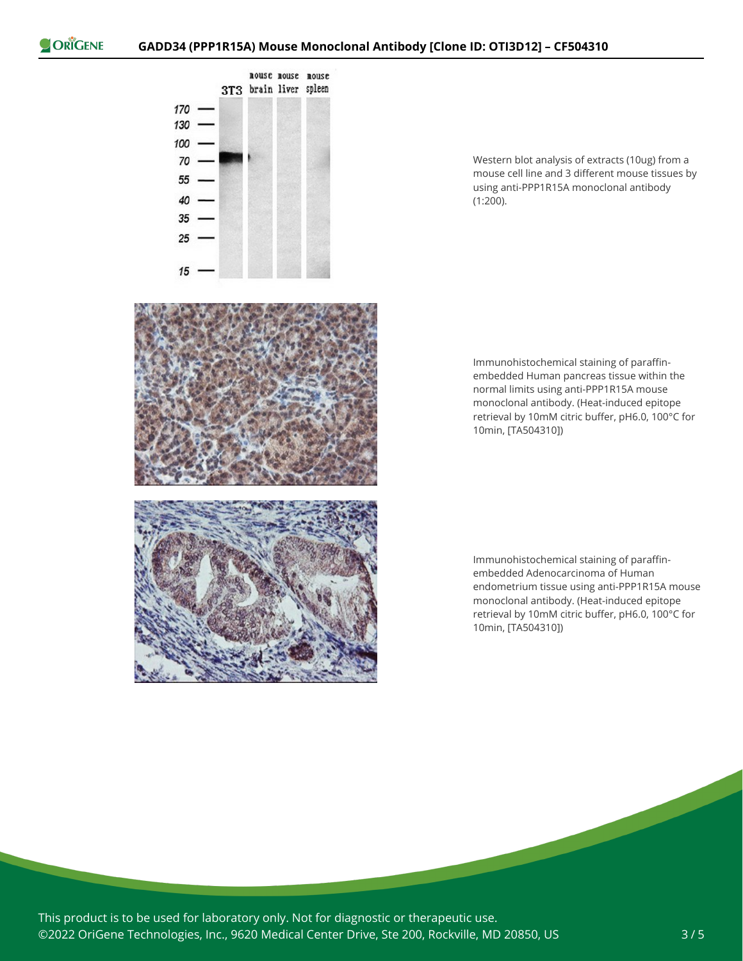

Western blot analysis of extracts (10ug) from a mouse cell line and 3 different mouse tissues by using anti-PPP1R15A monoclonal antibody (1:200).



Immunohistochemical staining of paraffinembedded Human pancreas tissue within the normal limits using anti-PPP1R15A mouse monoclonal antibody. (Heat-induced epitope retrieval by 10mM citric buffer, pH6.0, 100°C for 10min, [TA504310])

Immunohistochemical staining of paraffinembedded Adenocarcinoma of Human endometrium tissue using anti-PPP1R15A mouse monoclonal antibody. (Heat-induced epitope retrieval by 10mM citric buffer, pH6.0, 100°C for 10min, [TA504310])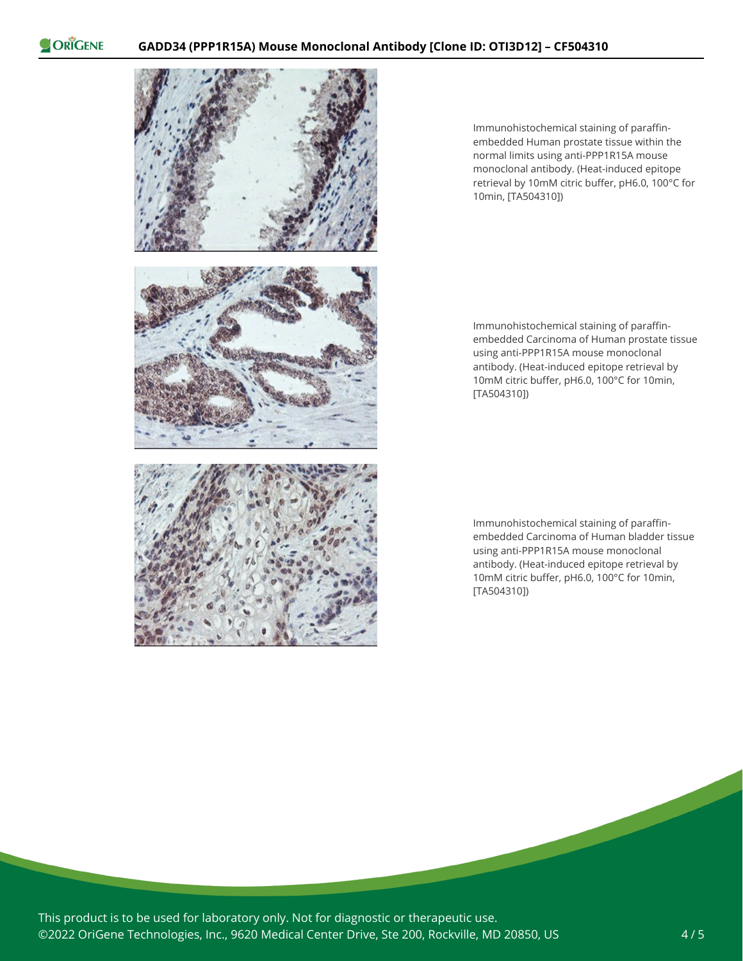ORIGENE



Immunohistochemical staining of paraffinembedded Human prostate tissue within the normal limits using anti-PPP1R15A mouse monoclonal antibody. (Heat-induced epitope retrieval by 10mM citric buffer, pH6.0, 100°C for 10min, [TA504310])

Immunohistochemical staining of paraffinembedded Carcinoma of Human prostate tissue using anti-PPP1R15A mouse monoclonal antibody. (Heat-induced epitope retrieval by 10mM citric buffer, pH6.0, 100°C for 10min, [TA504310])

Immunohistochemical staining of paraffinembedded Carcinoma of Human bladder tissue using anti-PPP1R15A mouse monoclonal antibody. (Heat-induced epitope retrieval by 10mM citric buffer, pH6.0, 100°C for 10min, [TA504310])